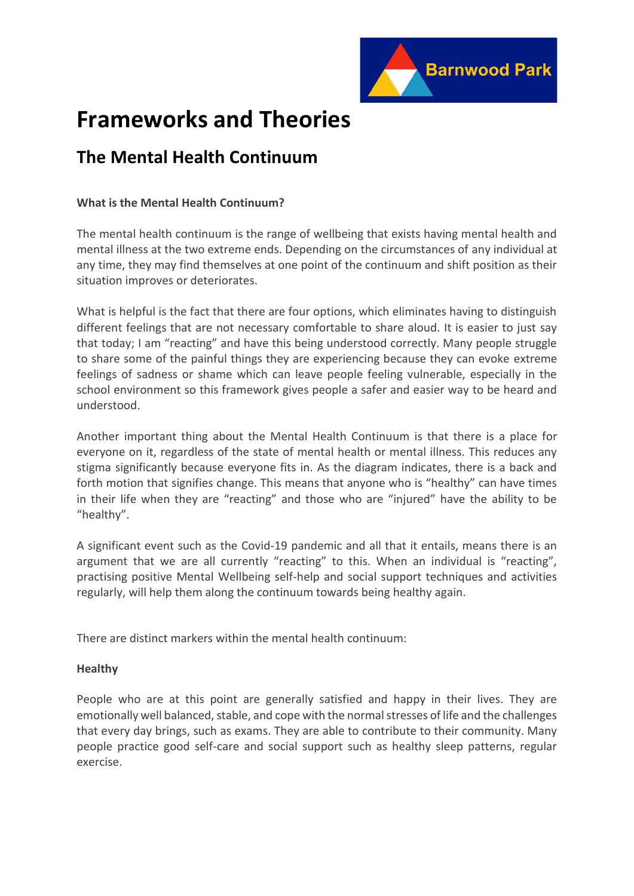

# **Frameworks and Theories**

# **The Mental Health Continuum**

### **What is the Mental Health Continuum?**

The mental health continuum is the range of wellbeing that exists having mental health and mental illness at the two extreme ends. Depending on the circumstances of any individual at any time, they may find themselves at one point of the continuum and shift position as their situation improves or deteriorates.

What is helpful is the fact that there are four options, which eliminates having to distinguish different feelings that are not necessary comfortable to share aloud. It is easier to just say that today; I am "reacting" and have this being understood correctly. Many people struggle to share some of the painful things they are experiencing because they can evoke extreme feelings of sadness or shame which can leave people feeling vulnerable, especially in the school environment so this framework gives people a safer and easier way to be heard and understood.

Another important thing about the Mental Health Continuum is that there is a place for everyone on it, regardless of the state of mental health or mental illness. This reduces any stigma significantly because everyone fits in. As the diagram indicates, there is a back and forth motion that signifies change. This means that anyone who is "healthy" can have times in their life when they are "reacting" and those who are "injured" have the ability to be "healthy".

A significant event such as the Covid-19 pandemic and all that it entails, means there is an argument that we are all currently "reacting" to this. When an individual is "reacting", practising positive Mental Wellbeing self-help and social support techniques and activities regularly, will help them along the continuum towards being healthy again.

There are distinct markers within the mental health continuum:

## **Healthy**

People who are at this point are generally satisfied and happy in their lives. They are emotionally well balanced, stable, and cope with the normal stresses of life and the challenges that every day brings, such as exams. They are able to contribute to their community. Many people practice good self-care and social support such as healthy sleep patterns, regular exercise.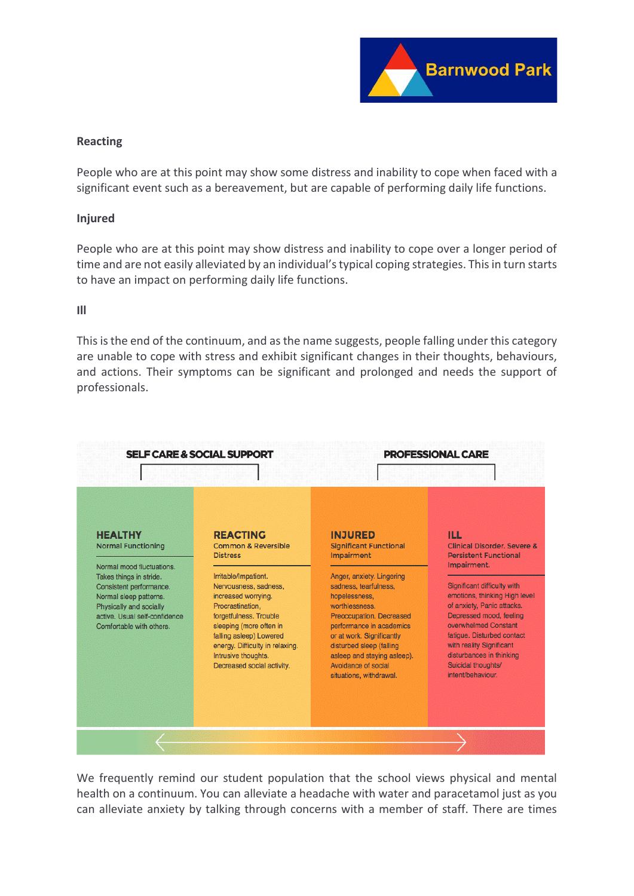

### **Reacting**

People who are at this point may show some distress and inability to cope when faced with a significant event such as a bereavement, but are capable of performing daily life functions.

#### **Injured**

People who are at this point may show distress and inability to cope over a longer period of time and are not easily alleviated by an individual's typical coping strategies. This in turn starts to have an impact on performing daily life functions.

#### **Ill**

This is the end of the continuum, and as the name suggests, people falling under this category are unable to cope with stress and exhibit significant changes in their thoughts, behaviours, and actions. Their symptoms can be significant and prolonged and needs the support of professionals.



We frequently remind our student population that the school views physical and mental health on a continuum. You can alleviate a headache with water and paracetamol just as you can alleviate anxiety by talking through concerns with a member of staff. There are times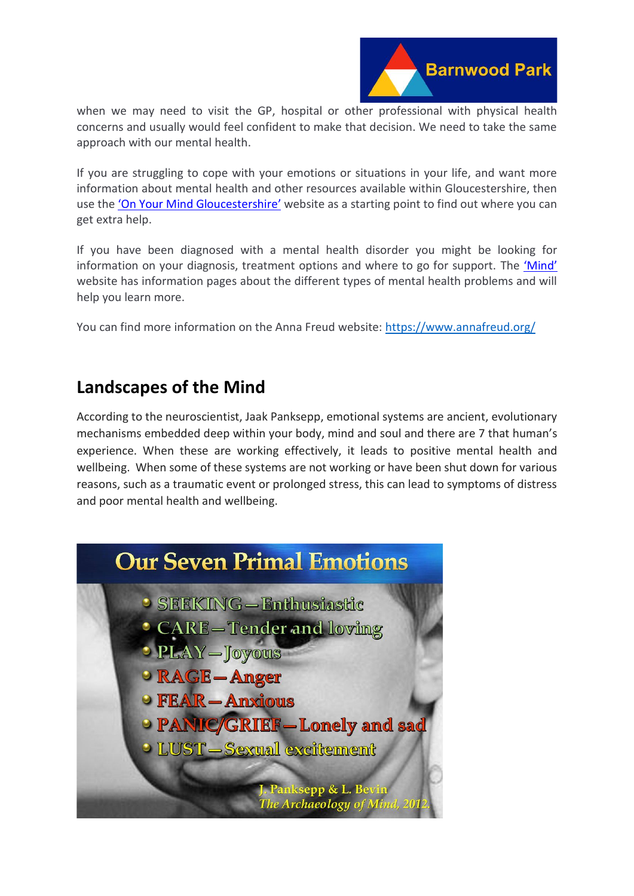

when we may need to visit the GP, hospital or other professional with physical health concerns and usually would feel confident to make that decision. We need to take the same approach with our mental health.

If you are struggling to cope with your emotions or situations in your life, and want more information about mental health and other resources available within Gloucestershire, then use the '[On Your Mind Gloucestershire](https://www.onyourmindglos.nhs.uk/)' website as a starting point to find out where you can get extra help.

If you have been diagnosed with a mental health disorder you might be looking for information on your diagnosis, treatment options and where to go for support. The ['Mind'](https://www.mind.org.uk/information-support/types-of-mental-health-problems/mental-health-problems-introduction/types-of-mental-health-problems/?gclid=EAIaIQobChMIjpDozdqk9QIV5IBQBh1_RAT2EAAYASAAEgIVafD_BwE) website has information pages about the different types of mental health problems and will help you learn more.

You can find more information on the Anna Freud website:<https://www.annafreud.org/>

# **Landscapes of the Mind**

According to the neuroscientist, Jaak Panksepp, emotional systems are ancient, evolutionary mechanisms embedded deep within your body, mind and soul and there are 7 that human's experience. When these are working effectively, it leads to positive mental health and wellbeing. When some of these systems are not working or have been shut down for various reasons, such as a traumatic event or prolonged stress, this can lead to symptoms of distress and poor mental health and wellbeing.

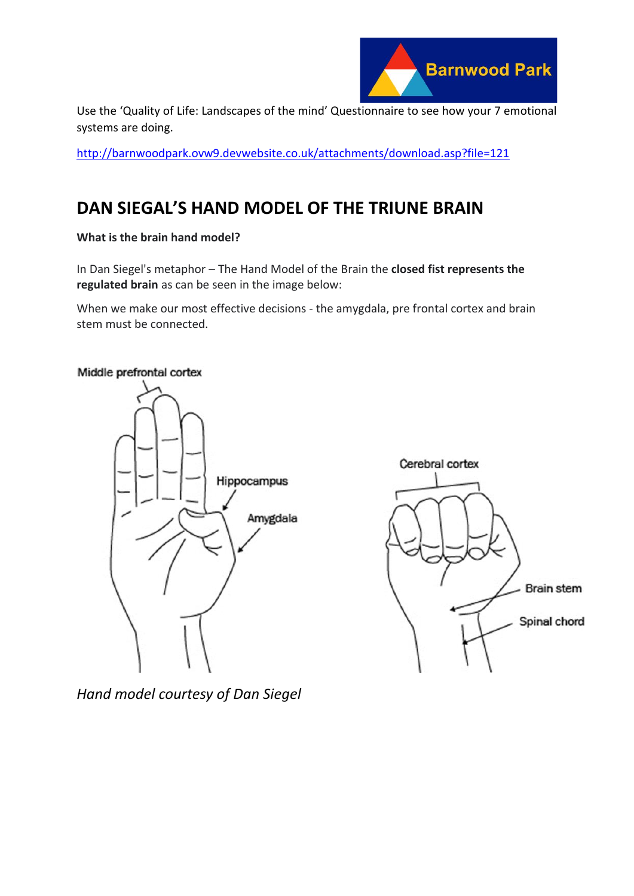

Use the 'Quality of Life: Landscapes of the mind' Questionnaire to see how your 7 emotional systems are doing.

<http://barnwoodpark.ovw9.devwebsite.co.uk/attachments/download.asp?file=121>

# **DAN SIEGAL'S HAND MODEL OF THE TRIUNE BRAIN**

**What is the brain hand model?**

In Dan Siegel's metaphor – The Hand Model of the Brain the **closed fist represents the regulated brain** as can be seen in the image below:

When we make our most effective decisions - the amygdala, pre frontal cortex and brain stem must be connected.

### Middle prefrontal cortex





*Hand model courtesy of Dan Siegel*